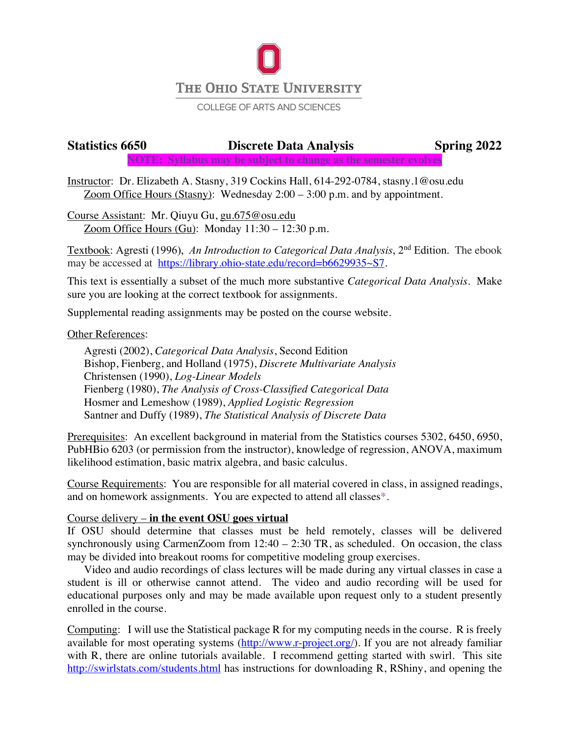

#### **COLLEGE OF ARTS AND SCIENCES**

# **Statistics 6650 Discrete Data Analysis Spring 2022 NOTE: Syllabus may be subject to change as the semester evolves**

Instructor: Dr. Elizabeth A. Stasny, 319 Cockins Hall, 614-292-0784, stasny.1@osu.edu Zoom Office Hours (Stasny): Wednesday 2:00 – 3:00 p.m. and by appointment.

Course Assistant: Mr. Qiuyu Gu, gu.675@osu.edu Zoom Office Hours (Gu): Monday  $11:30 - 12:30$  p.m.

Textbook: Agresti (1996), *An Introduction to Categorical Data Analysis*, 2nd Edition. The ebook may be accessed at https://library.ohio-state.edu/record=b6629935~S7.

This text is essentially a subset of the much more substantive *Categorical Data Analysis*. Make sure you are looking at the correct textbook for assignments.

Supplemental reading assignments may be posted on the course website.

## Other References:

Agresti (2002), *Categorical Data Analysis*, Second Edition Bishop, Fienberg, and Holland (1975), *Discrete Multivariate Analysis* Christensen (1990), *Log-Linear Models* Fienberg (1980), *The Analysis of Cross-Classified Categorical Data* Hosmer and Lemeshow (1989), *Applied Logistic Regression* Santner and Duffy (1989), *The Statistical Analysis of Discrete Data*

Prerequisites: An excellent background in material from the Statistics courses 5302, 6450, 6950, PubHBio 6203 (or permission from the instructor), knowledge of regression, ANOVA, maximum likelihood estimation, basic matrix algebra, and basic calculus.

Course Requirements: You are responsible for all material covered in class, in assigned readings, and on homework assignments. You are expected to attend all classes\*.

## Course delivery – **in the event OSU goes virtual**

If OSU should determine that classes must be held remotely, classes will be delivered synchronously using CarmenZoom from  $12:40 - 2:30$  TR, as scheduled. On occasion, the class may be divided into breakout rooms for competitive modeling group exercises.

Video and audio recordings of class lectures will be made during any virtual classes in case a student is ill or otherwise cannot attend. The video and audio recording will be used for educational purposes only and may be made available upon request only to a student presently enrolled in the course.

Computing: I will use the Statistical package R for my computing needs in the course. R is freely available for most operating systems (http://www.r-project.org/). If you are not already familiar with R, there are online tutorials available. I recommend getting started with swirl. This site http://swirlstats.com/students.html has instructions for downloading R, RShiny, and opening the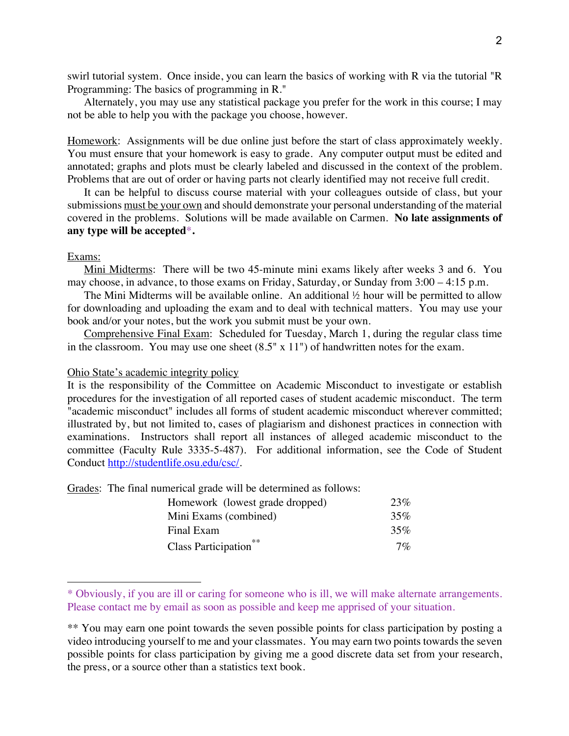swirl tutorial system. Once inside, you can learn the basics of working with R via the tutorial "R Programming: The basics of programming in R."

Alternately, you may use any statistical package you prefer for the work in this course; I may not be able to help you with the package you choose, however.

Homework: Assignments will be due online just before the start of class approximately weekly. You must ensure that your homework is easy to grade. Any computer output must be edited and annotated; graphs and plots must be clearly labeled and discussed in the context of the problem. Problems that are out of order or having parts not clearly identified may not receive full credit.

It can be helpful to discuss course material with your colleagues outside of class, but your submissions must be your own and should demonstrate your personal understanding of the material covered in the problems. Solutions will be made available on Carmen. **No late assignments of any type will be accepted**\***.**

## Exams:

Mini Midterms: There will be two 45-minute mini exams likely after weeks 3 and 6. You may choose, in advance, to those exams on Friday, Saturday, or Sunday from 3:00 – 4:15 p.m.

The Mini Midterms will be available online. An additional  $\frac{1}{2}$  hour will be permitted to allow for downloading and uploading the exam and to deal with technical matters. You may use your book and/or your notes, but the work you submit must be your own.

Comprehensive Final Exam: Scheduled for Tuesday, March 1, during the regular class time in the classroom. You may use one sheet (8.5" x 11") of handwritten notes for the exam.

#### Ohio State's academic integrity policy

It is the responsibility of the Committee on Academic Misconduct to investigate or establish procedures for the investigation of all reported cases of student academic misconduct. The term "academic misconduct" includes all forms of student academic misconduct wherever committed; illustrated by, but not limited to, cases of plagiarism and dishonest practices in connection with examinations. Instructors shall report all instances of alleged academic misconduct to the committee (Faculty Rule 3335-5-487). For additional information, see the Code of Student Conduct http://studentlife.osu.edu/csc/.

Grades: The final numerical grade will be determined as follows:

| Homework (lowest grade dropped)   | 23%   |
|-----------------------------------|-------|
| Mini Exams (combined)             | 35%   |
| Final Exam                        | 35%   |
| Class Participation <sup>**</sup> | $7\%$ |

<sup>\*</sup> Obviously, if you are ill or caring for someone who is ill, we will make alternate arrangements. Please contact me by email as soon as possible and keep me apprised of your situation.

<sup>\*\*</sup> You may earn one point towards the seven possible points for class participation by posting a video introducing yourself to me and your classmates. You may earn two points towards the seven possible points for class participation by giving me a good discrete data set from your research, the press, or a source other than a statistics text book.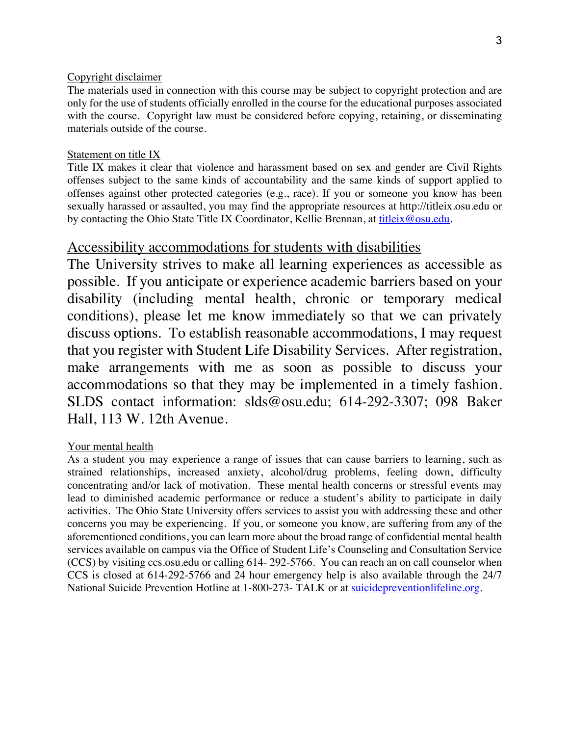## Copyright disclaimer

The materials used in connection with this course may be subject to copyright protection and are only for the use of students officially enrolled in the course for the educational purposes associated with the course. Copyright law must be considered before copying, retaining, or disseminating materials outside of the course.

## Statement on title IX

Title IX makes it clear that violence and harassment based on sex and gender are Civil Rights offenses subject to the same kinds of accountability and the same kinds of support applied to offenses against other protected categories (e.g., race). If you or someone you know has been sexually harassed or assaulted, you may find the appropriate resources at http://titleix.osu.edu or by contacting the Ohio State Title IX Coordinator, Kellie Brennan, at titleix@osu.edu.

# Accessibility accommodations for students with disabilities

The University strives to make all learning experiences as accessible as possible. If you anticipate or experience academic barriers based on your disability (including mental health, chronic or temporary medical conditions), please let me know immediately so that we can privately discuss options. To establish reasonable accommodations, I may request that you register with Student Life Disability Services. After registration, make arrangements with me as soon as possible to discuss your accommodations so that they may be implemented in a timely fashion. SLDS contact information: slds@osu.edu; 614-292-3307; 098 Baker Hall, 113 W. 12th Avenue.

## Your mental health

As a student you may experience a range of issues that can cause barriers to learning, such as strained relationships, increased anxiety, alcohol/drug problems, feeling down, difficulty concentrating and/or lack of motivation. These mental health concerns or stressful events may lead to diminished academic performance or reduce a student's ability to participate in daily activities. The Ohio State University offers services to assist you with addressing these and other concerns you may be experiencing. If you, or someone you know, are suffering from any of the aforementioned conditions, you can learn more about the broad range of confidential mental health services available on campus via the Office of Student Life's Counseling and Consultation Service (CCS) by visiting ccs.osu.edu or calling 614- 292-5766. You can reach an on call counselor when CCS is closed at 614-292-5766 and 24 hour emergency help is also available through the 24/7 National Suicide Prevention Hotline at 1-800-273- TALK or at suicidepreventionlifeline.org.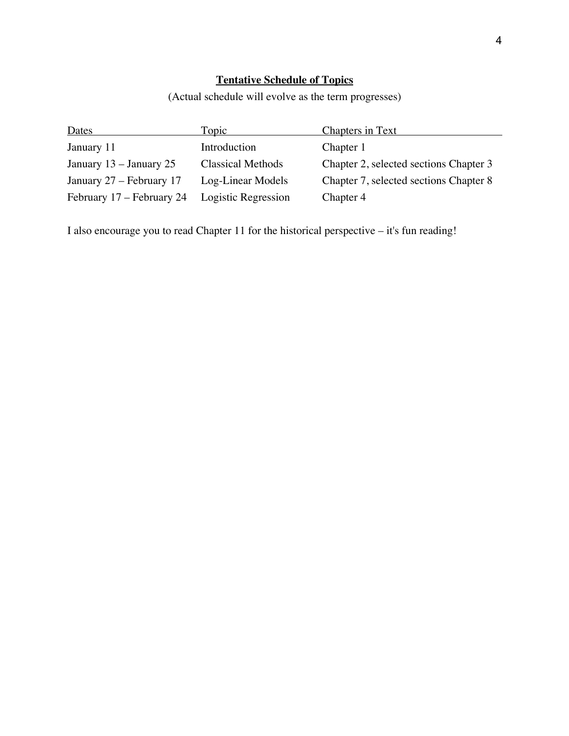## **Tentative Schedule of Topics**

(Actual schedule will evolve as the term progresses)

| Dates                     | Topic                    | <b>Chapters in Text</b>                |
|---------------------------|--------------------------|----------------------------------------|
| January 11                | Introduction             | Chapter 1                              |
| January $13 -$ January 25 | <b>Classical Methods</b> | Chapter 2, selected sections Chapter 3 |
| January 27 – February 17  | Log-Linear Models        | Chapter 7, selected sections Chapter 8 |
| February 17 – February 24 | Logistic Regression      | Chapter 4                              |

I also encourage you to read Chapter 11 for the historical perspective – it's fun reading!